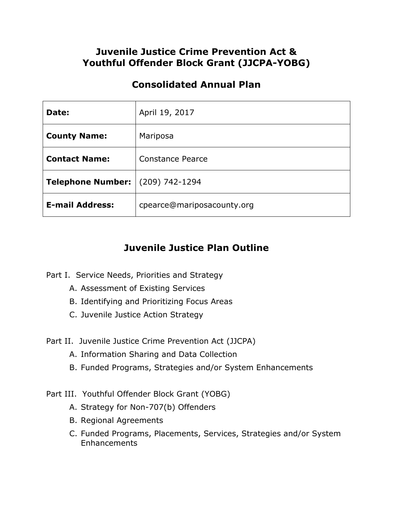## **Juvenile Justice Crime Prevention Act & Youthful Offender Block Grant (JJCPA-YOBG)**

## **Consolidated Annual Plan**

| Date:                    | April 19, 2017             |
|--------------------------|----------------------------|
| <b>County Name:</b>      | Mariposa                   |
| <b>Contact Name:</b>     | Constance Pearce           |
| <b>Telephone Number:</b> | (209) 742-1294             |
| <b>E-mail Address:</b>   | cpearce@mariposacounty.org |

# **Juvenile Justice Plan Outline**

- Part I. Service Needs, Priorities and Strategy
	- A. Assessment of Existing Services
	- B. Identifying and Prioritizing Focus Areas
	- C. Juvenile Justice Action Strategy
- Part II. Juvenile Justice Crime Prevention Act (JJCPA)
	- A. Information Sharing and Data Collection
	- B. Funded Programs, Strategies and/or System Enhancements
- Part III. Youthful Offender Block Grant (YOBG)
	- A. Strategy for Non-707(b) Offenders
	- B. Regional Agreements
	- C. Funded Programs, Placements, Services, Strategies and/or System Enhancements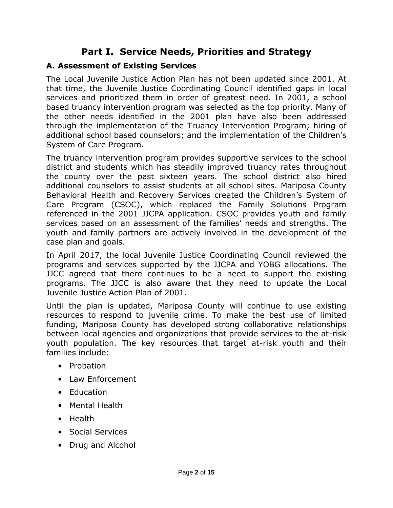# **Part I. Service Needs, Priorities and Strategy**

### **A. Assessment of Existing Services**

The Local Juvenile Justice Action Plan has not been updated since 2001. At that time, the Juvenile Justice Coordinating Council identified gaps in local services and prioritized them in order of greatest need. In 2001, a school based truancy intervention program was selected as the top priority. Many of the other needs identified in the 2001 plan have also been addressed through the implementation of the Truancy Intervention Program; hiring of additional school based counselors; and the implementation of the Children's System of Care Program.

The truancy intervention program provides supportive services to the school district and students which has steadily improved truancy rates throughout the county over the past sixteen years. The school district also hired additional counselors to assist students at all school sites. Mariposa County Behavioral Health and Recovery Services created the Children's System of Care Program (CSOC), which replaced the Family Solutions Program referenced in the 2001 JJCPA application. CSOC provides youth and family services based on an assessment of the families' needs and strengths. The youth and family partners are actively involved in the development of the case plan and goals.

In April 2017, the local Juvenile Justice Coordinating Council reviewed the programs and services supported by the JJCPA and YOBG allocations. The JJCC agreed that there continues to be a need to support the existing programs. The JJCC is also aware that they need to update the Local Juvenile Justice Action Plan of 2001.

Until the plan is updated, Mariposa County will continue to use existing resources to respond to juvenile crime. To make the best use of limited funding, Mariposa County has developed strong collaborative relationships between local agencies and organizations that provide services to the at-risk youth population. The key resources that target at-risk youth and their families include:

- Probation
- Law Enforcement
- Education
- Mental Health
- Health
- Social Services
- Drug and Alcohol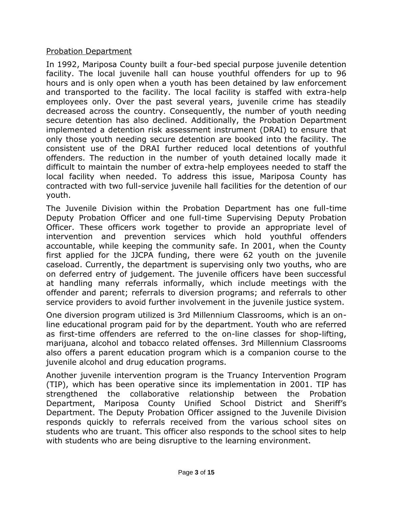### Probation Department

In 1992, Mariposa County built a four-bed special purpose juvenile detention facility. The local juvenile hall can house youthful offenders for up to 96 hours and is only open when a youth has been detained by law enforcement and transported to the facility. The local facility is staffed with extra-help employees only. Over the past several years, juvenile crime has steadily decreased across the country. Consequently, the number of youth needing secure detention has also declined. Additionally, the Probation Department implemented a detention risk assessment instrument (DRAI) to ensure that only those youth needing secure detention are booked into the facility. The consistent use of the DRAI further reduced local detentions of youthful offenders. The reduction in the number of youth detained locally made it difficult to maintain the number of extra-help employees needed to staff the local facility when needed. To address this issue, Mariposa County has contracted with two full-service juvenile hall facilities for the detention of our youth.

The Juvenile Division within the Probation Department has one full-time Deputy Probation Officer and one full-time Supervising Deputy Probation Officer. These officers work together to provide an appropriate level of intervention and prevention services which hold youthful offenders accountable, while keeping the community safe. In 2001, when the County first applied for the JJCPA funding, there were 62 youth on the juvenile caseload. Currently, the department is supervising only two youths, who are on deferred entry of judgement. The juvenile officers have been successful at handling many referrals informally, which include meetings with the offender and parent; referrals to diversion programs; and referrals to other service providers to avoid further involvement in the juvenile justice system.

One diversion program utilized is 3rd Millennium Classrooms, which is an online educational program paid for by the department. Youth who are referred as first-time offenders are referred to the on-line classes for shop-lifting, marijuana, alcohol and tobacco related offenses. 3rd Millennium Classrooms also offers a parent education program which is a companion course to the juvenile alcohol and drug education programs.

Another juvenile intervention program is the Truancy Intervention Program (TIP), which has been operative since its implementation in 2001. TIP has strengthened the collaborative relationship between the Probation Department, Mariposa County Unified School District and Sheriff's Department. The Deputy Probation Officer assigned to the Juvenile Division responds quickly to referrals received from the various school sites on students who are truant. This officer also responds to the school sites to help with students who are being disruptive to the learning environment.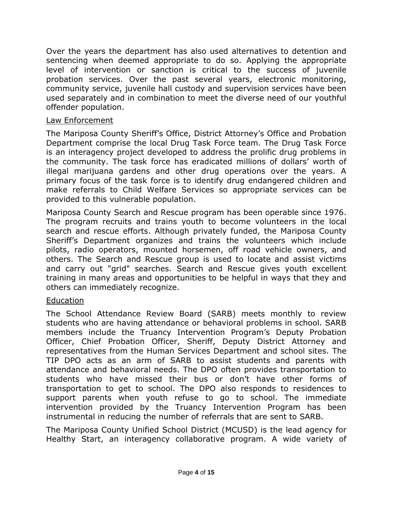Over the years the department has also used alternatives to detention and sentencing when deemed appropriate to do so. Applying the appropriate level of intervention or sanction is critical to the success of juvenile probation services. Over the past several years, electronic monitoring, community service, juvenile hall custody and supervision services have been used separately and in combination to meet the diverse need of our youthful offender population.

### Law Enforcement

The Mariposa County Sheriff's Office, District Attorney's Office and Probation Department comprise the local Drug Task Force team. The Drug Task Force is an interagency project developed to address the prolific drug problems in the community. The task force has eradicated millions of dollars' worth of illegal marijuana gardens and other drug operations over the years. A primary focus of the task force is to identify drug endangered children and make referrals to Child Welfare Services so appropriate services can be provided to this vulnerable population.

Mariposa County Search and Rescue program has been operable since 1976. The program recruits and trains youth to become volunteers in the local search and rescue efforts. Although privately funded, the Mariposa County Sheriff's Department organizes and trains the volunteers which include pilots, radio operators, mounted horsemen, off road vehicle owners, and others. The Search and Rescue group is used to locate and assist victims and carry out "grid" searches. Search and Rescue gives youth excellent training in many areas and opportunities to be helpful in ways that they and others can immediately recognize.

### Education

The School Attendance Review Board (SARB) meets monthly to review students who are having attendance or behavioral problems in school. SARB members include the Truancy Intervention Program's Deputy Probation Officer, Chief Probation Officer, Sheriff, Deputy District Attorney and representatives from the Human Services Department and school sites. The TIP DPO acts as an arm of SARB to assist students and parents with attendance and behavioral needs. The DPO often provides transportation to students who have missed their bus or don't have other forms of transportation to get to school. The DPO also responds to residences to support parents when youth refuse to go to school. The immediate intervention provided by the Truancy Intervention Program has been instrumental in reducing the number of referrals that are sent to SARB.

The Mariposa County Unified School District (MCUSD) is the lead agency for Healthy Start, an interagency collaborative program. A wide variety of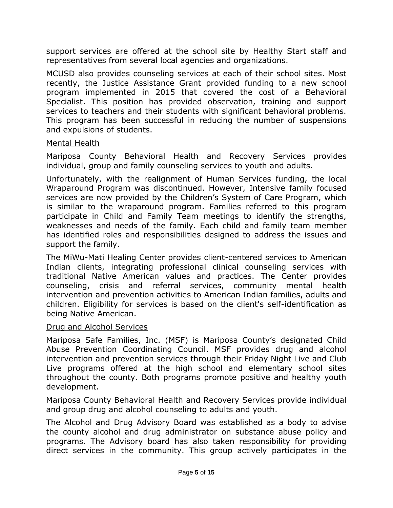support services are offered at the school site by Healthy Start staff and representatives from several local agencies and organizations.

MCUSD also provides counseling services at each of their school sites. Most recently, the Justice Assistance Grant provided funding to a new school program implemented in 2015 that covered the cost of a Behavioral Specialist. This position has provided observation, training and support services to teachers and their students with significant behavioral problems. This program has been successful in reducing the number of suspensions and expulsions of students.

### Mental Health

Mariposa County Behavioral Health and Recovery Services provides individual, group and family counseling services to youth and adults.

Unfortunately, with the realignment of Human Services funding, the local Wraparound Program was discontinued. However, Intensive family focused services are now provided by the Children's System of Care Program, which is similar to the wraparound program. Families referred to this program participate in Child and Family Team meetings to identify the strengths, weaknesses and needs of the family. Each child and family team member has identified roles and responsibilities designed to address the issues and support the family.

The MiWu-Mati Healing Center provides client-centered services to American Indian clients, integrating professional clinical counseling services with traditional Native American values and practices. The Center provides counseling, crisis and referral services, community mental health intervention and prevention activities to American Indian families, adults and children. Eligibility for services is based on the client's self-identification as being Native American.

### Drug and Alcohol Services

Mariposa Safe Families, Inc. (MSF) is Mariposa County's designated Child Abuse Prevention Coordinating Council. MSF provides drug and alcohol intervention and prevention services through their Friday Night Live and Club Live programs offered at the high school and elementary school sites throughout the county. Both programs promote positive and healthy youth development.

Mariposa County Behavioral Health and Recovery Services provide individual and group drug and alcohol counseling to adults and youth.

The Alcohol and Drug Advisory Board was established as a body to advise the county alcohol and drug administrator on substance abuse policy and programs. The Advisory board has also taken responsibility for providing direct services in the community. This group actively participates in the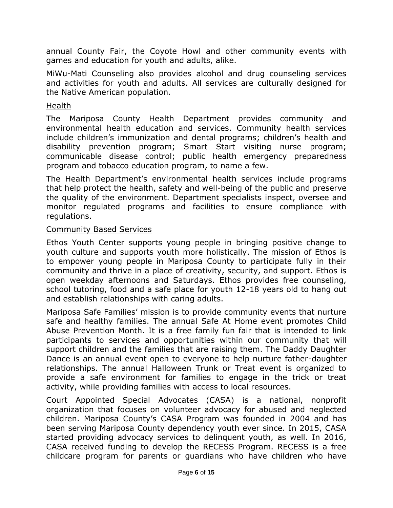annual County Fair, the Coyote Howl and other community events with games and education for youth and adults, alike.

MiWu-Mati Counseling also provides alcohol and drug counseling services and activities for youth and adults. All services are culturally designed for the Native American population.

### Health

The Mariposa County Health Department provides community and environmental health education and services. Community health services include children's immunization and dental programs; children's health and disability prevention program; Smart Start visiting nurse program; communicable disease control; public health emergency preparedness program and tobacco education program, to name a few.

The Health Department's environmental health services include programs that help protect the health, safety and well-being of the public and preserve the quality of the environment. Department specialists inspect, oversee and monitor regulated programs and facilities to ensure compliance with regulations.

### Community Based Services

Ethos Youth Center supports young people in bringing positive change to youth culture and supports youth more holistically. The mission of Ethos is to empower young people in Mariposa County to participate fully in their community and thrive in a place of creativity, security, and support. Ethos is open weekday afternoons and Saturdays. Ethos provides free counseling, school tutoring, food and a safe place for youth 12-18 years old to hang out and establish relationships with caring adults.

Mariposa Safe Families' mission is to provide community events that nurture safe and healthy families. The annual Safe At Home event promotes Child Abuse Prevention Month. It is a free family fun fair that is intended to link participants to services and opportunities within our community that will support children and the families that are raising them. The Daddy Daughter Dance is an annual event open to everyone to help nurture father-daughter relationships. The annual Halloween Trunk or Treat event is organized to provide a safe environment for families to engage in the trick or treat activity, while providing families with access to local resources.

Court Appointed Special Advocates (CASA) is a national, nonprofit organization that focuses on volunteer advocacy for abused and neglected children. Mariposa County's CASA Program was founded in 2004 and has been serving Mariposa County dependency youth ever since. In 2015, CASA started providing advocacy services to delinquent youth, as well. In 2016, CASA received funding to develop the RECESS Program. RECESS is a free childcare program for parents or guardians who have children who have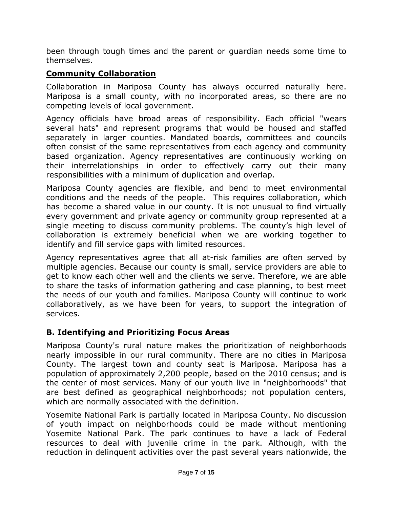been through tough times and the parent or guardian needs some time to themselves.

## **Community Collaboration**

Collaboration in Mariposa County has always occurred naturally here. Mariposa is a small county, with no incorporated areas, so there are no competing levels of local government.

Agency officials have broad areas of responsibility. Each official "wears several hats" and represent programs that would be housed and staffed separately in larger counties. Mandated boards, committees and councils often consist of the same representatives from each agency and community based organization. Agency representatives are continuously working on their interrelationships in order to effectively carry out their many responsibilities with a minimum of duplication and overlap.

Mariposa County agencies are flexible, and bend to meet environmental conditions and the needs of the people. This requires collaboration, which has become a shared value in our county. It is not unusual to find virtually every government and private agency or community group represented at a single meeting to discuss community problems. The county's high level of collaboration is extremely beneficial when we are working together to identify and fill service gaps with limited resources.

Agency representatives agree that all at-risk families are often served by multiple agencies. Because our county is small, service providers are able to get to know each other well and the clients we serve. Therefore, we are able to share the tasks of information gathering and case planning, to best meet the needs of our youth and families. Mariposa County will continue to work collaboratively, as we have been for years, to support the integration of services.

## **B. Identifying and Prioritizing Focus Areas**

Mariposa County's rural nature makes the prioritization of neighborhoods nearly impossible in our rural community. There are no cities in Mariposa County. The largest town and county seat is Mariposa. Mariposa has a population of approximately 2,200 people, based on the 2010 census; and is the center of most services. Many of our youth live in "neighborhoods" that are best defined as geographical neighborhoods; not population centers, which are normally associated with the definition.

Yosemite National Park is partially located in Mariposa County. No discussion of youth impact on neighborhoods could be made without mentioning Yosemite National Park. The park continues to have a lack of Federal resources to deal with juvenile crime in the park. Although, with the reduction in delinquent activities over the past several years nationwide, the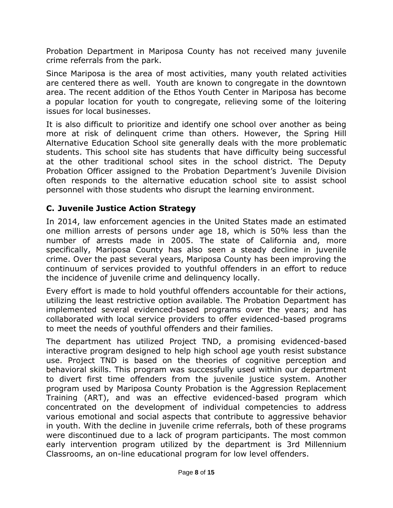Probation Department in Mariposa County has not received many juvenile crime referrals from the park.

Since Mariposa is the area of most activities, many youth related activities are centered there as well. Youth are known to congregate in the downtown area. The recent addition of the Ethos Youth Center in Mariposa has become a popular location for youth to congregate, relieving some of the loitering issues for local businesses.

It is also difficult to prioritize and identify one school over another as being more at risk of delinquent crime than others. However, the Spring Hill Alternative Education School site generally deals with the more problematic students. This school site has students that have difficulty being successful at the other traditional school sites in the school district. The Deputy Probation Officer assigned to the Probation Department's Juvenile Division often responds to the alternative education school site to assist school personnel with those students who disrupt the learning environment.

## **C. Juvenile Justice Action Strategy**

In 2014, law enforcement agencies in the United States made an estimated one million arrests of persons under age 18, which is 50% less than the number of arrests made in 2005. The state of California and, more specifically, Mariposa County has also seen a steady decline in juvenile crime. Over the past several years, Mariposa County has been improving the continuum of services provided to youthful offenders in an effort to reduce the incidence of juvenile crime and delinquency locally.

Every effort is made to hold youthful offenders accountable for their actions, utilizing the least restrictive option available. The Probation Department has implemented several evidenced-based programs over the years; and has collaborated with local service providers to offer evidenced-based programs to meet the needs of youthful offenders and their families.

The department has utilized Project TND, a promising evidenced-based interactive program designed to help high school age youth resist substance use. Project TND is based on the theories of cognitive perception and behavioral skills. This program was successfully used within our department to divert first time offenders from the juvenile justice system. Another program used by Mariposa County Probation is the Aggression Replacement Training (ART), and was an effective evidenced-based program which concentrated on the development of individual competencies to address various emotional and social aspects that contribute to aggressive behavior in youth. With the decline in juvenile crime referrals, both of these programs were discontinued due to a lack of program participants. The most common early intervention program utilized by the department is 3rd Millennium Classrooms, an on-line educational program for low level offenders.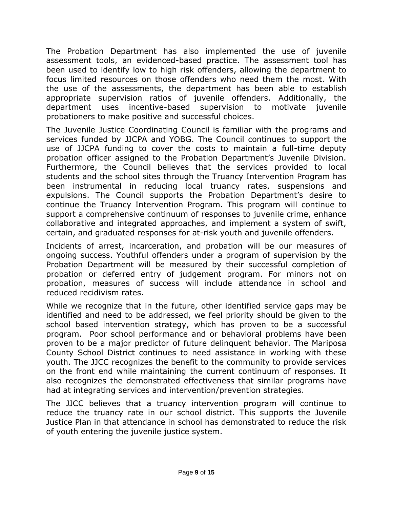The Probation Department has also implemented the use of juvenile assessment tools, an evidenced-based practice. The assessment tool has been used to identify low to high risk offenders, allowing the department to focus limited resources on those offenders who need them the most. With the use of the assessments, the department has been able to establish appropriate supervision ratios of juvenile offenders. Additionally, the department uses incentive-based supervision to motivate juvenile probationers to make positive and successful choices.

The Juvenile Justice Coordinating Council is familiar with the programs and services funded by JJCPA and YOBG. The Council continues to support the use of JJCPA funding to cover the costs to maintain a full-time deputy probation officer assigned to the Probation Department's Juvenile Division. Furthermore, the Council believes that the services provided to local students and the school sites through the Truancy Intervention Program has been instrumental in reducing local truancy rates, suspensions and expulsions. The Council supports the Probation Department's desire to continue the Truancy Intervention Program. This program will continue to support a comprehensive continuum of responses to juvenile crime, enhance collaborative and integrated approaches, and implement a system of swift, certain, and graduated responses for at-risk youth and juvenile offenders.

Incidents of arrest, incarceration, and probation will be our measures of ongoing success. Youthful offenders under a program of supervision by the Probation Department will be measured by their successful completion of probation or deferred entry of judgement program. For minors not on probation, measures of success will include attendance in school and reduced recidivism rates.

While we recognize that in the future, other identified service gaps may be identified and need to be addressed, we feel priority should be given to the school based intervention strategy, which has proven to be a successful program. Poor school performance and or behavioral problems have been proven to be a major predictor of future delinquent behavior. The Mariposa County School District continues to need assistance in working with these youth. The JJCC recognizes the benefit to the community to provide services on the front end while maintaining the current continuum of responses. It also recognizes the demonstrated effectiveness that similar programs have had at integrating services and intervention/prevention strategies.

The JJCC believes that a truancy intervention program will continue to reduce the truancy rate in our school district. This supports the Juvenile Justice Plan in that attendance in school has demonstrated to reduce the risk of youth entering the juvenile justice system.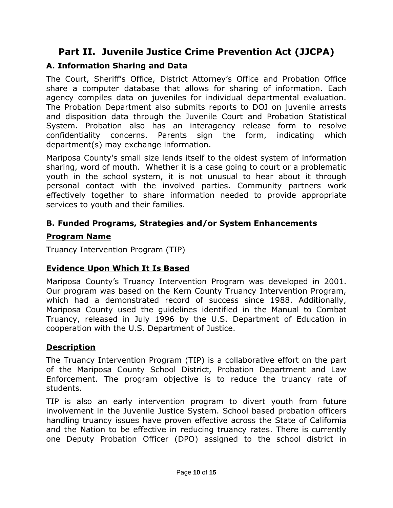# **Part II. Juvenile Justice Crime Prevention Act (JJCPA)**

## **A. Information Sharing and Data**

The Court, Sheriff's Office, District Attorney's Office and Probation Office share a computer database that allows for sharing of information. Each agency compiles data on juveniles for individual departmental evaluation. The Probation Department also submits reports to DOJ on juvenile arrests and disposition data through the Juvenile Court and Probation Statistical System. Probation also has an interagency release form to resolve confidentiality concerns. Parents sign the form, indicating which department(s) may exchange information.

Mariposa County's small size lends itself to the oldest system of information sharing, word of mouth. Whether it is a case going to court or a problematic youth in the school system, it is not unusual to hear about it through personal contact with the involved parties. Community partners work effectively together to share information needed to provide appropriate services to youth and their families.

## **B. Funded Programs, Strategies and/or System Enhancements**

### **Program Name**

Truancy Intervention Program (TIP)

## **Evidence Upon Which It Is Based**

Mariposa County's Truancy Intervention Program was developed in 2001. Our program was based on the Kern County Truancy Intervention Program, which had a demonstrated record of success since 1988. Additionally, Mariposa County used the guidelines identified in the Manual to Combat Truancy, released in July 1996 by the U.S. Department of Education in cooperation with the U.S. Department of Justice.

## **Description**

The Truancy Intervention Program (TIP) is a collaborative effort on the part of the Mariposa County School District, Probation Department and Law Enforcement. The program objective is to reduce the truancy rate of students.

TIP is also an early intervention program to divert youth from future involvement in the Juvenile Justice System. School based probation officers handling truancy issues have proven effective across the State of California and the Nation to be effective in reducing truancy rates. There is currently one Deputy Probation Officer (DPO) assigned to the school district in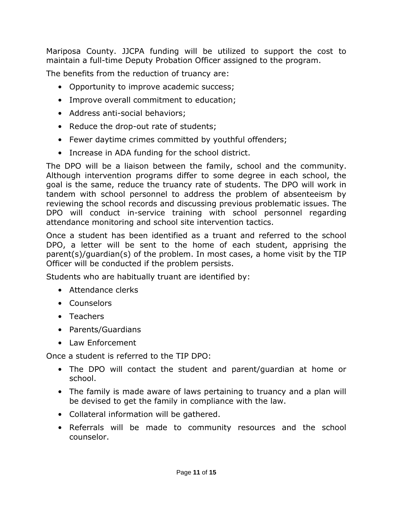Mariposa County. JJCPA funding will be utilized to support the cost to maintain a full-time Deputy Probation Officer assigned to the program.

The benefits from the reduction of truancy are:

- Opportunity to improve academic success;
- Improve overall commitment to education;
- Address anti-social behaviors;
- Reduce the drop-out rate of students;
- Fewer daytime crimes committed by youthful offenders;
- Increase in ADA funding for the school district.

The DPO will be a liaison between the family, school and the community. Although intervention programs differ to some degree in each school, the goal is the same, reduce the truancy rate of students. The DPO will work in tandem with school personnel to address the problem of absenteeism by reviewing the school records and discussing previous problematic issues. The DPO will conduct in-service training with school personnel regarding attendance monitoring and school site intervention tactics.

Once a student has been identified as a truant and referred to the school DPO, a letter will be sent to the home of each student, apprising the parent(s)/guardian(s) of the problem. In most cases, a home visit by the TIP Officer will be conducted if the problem persists.

Students who are habitually truant are identified by:

- Attendance clerks
- Counselors
- Teachers
- Parents/Guardians
- Law Enforcement

Once a student is referred to the TIP DPO:

- The DPO will contact the student and parent/guardian at home or school.
- The family is made aware of laws pertaining to truancy and a plan will be devised to get the family in compliance with the law.
- Collateral information will be gathered.
- Referrals will be made to community resources and the school counselor.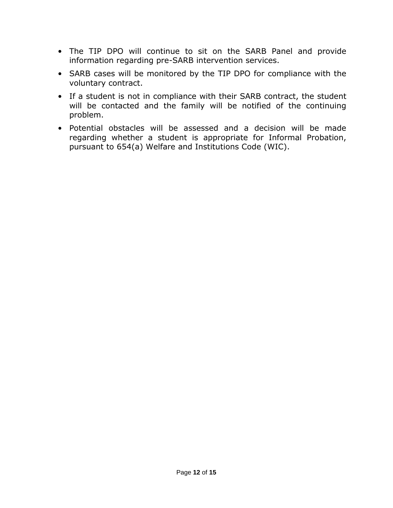- The TIP DPO will continue to sit on the SARB Panel and provide information regarding pre-SARB intervention services.
- SARB cases will be monitored by the TIP DPO for compliance with the voluntary contract.
- If a student is not in compliance with their SARB contract, the student will be contacted and the family will be notified of the continuing problem.
- Potential obstacles will be assessed and a decision will be made regarding whether a student is appropriate for Informal Probation, pursuant to 654(a) Welfare and Institutions Code (WIC).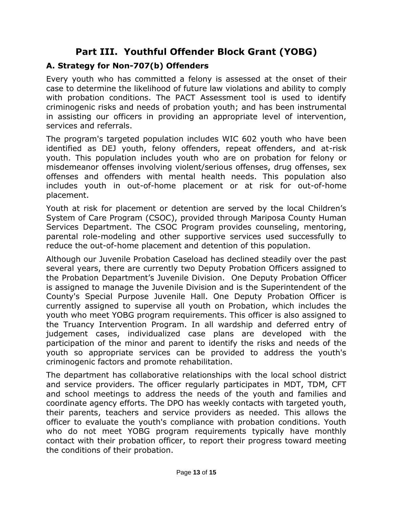# **Part III. Youthful Offender Block Grant (YOBG)**

## **A. Strategy for Non-707(b) Offenders**

Every youth who has committed a felony is assessed at the onset of their case to determine the likelihood of future law violations and ability to comply with probation conditions. The PACT Assessment tool is used to identify criminogenic risks and needs of probation youth; and has been instrumental in assisting our officers in providing an appropriate level of intervention, services and referrals.

The program's targeted population includes WIC 602 youth who have been identified as DEJ youth, felony offenders, repeat offenders, and at-risk youth. This population includes youth who are on probation for felony or misdemeanor offenses involving violent/serious offenses, drug offenses, sex offenses and offenders with mental health needs. This population also includes youth in out-of-home placement or at risk for out-of-home placement.

Youth at risk for placement or detention are served by the local Children's System of Care Program (CSOC), provided through Mariposa County Human Services Department. The CSOC Program provides counseling, mentoring, parental role-modeling and other supportive services used successfully to reduce the out-of-home placement and detention of this population.

Although our Juvenile Probation Caseload has declined steadily over the past several years, there are currently two Deputy Probation Officers assigned to the Probation Department's Juvenile Division. One Deputy Probation Officer is assigned to manage the Juvenile Division and is the Superintendent of the County's Special Purpose Juvenile Hall. One Deputy Probation Officer is currently assigned to supervise all youth on Probation, which includes the youth who meet YOBG program requirements. This officer is also assigned to the Truancy Intervention Program. In all wardship and deferred entry of judgement cases, individualized case plans are developed with the participation of the minor and parent to identify the risks and needs of the youth so appropriate services can be provided to address the youth's criminogenic factors and promote rehabilitation.

The department has collaborative relationships with the local school district and service providers. The officer regularly participates in MDT, TDM, CFT and school meetings to address the needs of the youth and families and coordinate agency efforts. The DPO has weekly contacts with targeted youth, their parents, teachers and service providers as needed. This allows the officer to evaluate the youth's compliance with probation conditions. Youth who do not meet YOBG program requirements typically have monthly contact with their probation officer, to report their progress toward meeting the conditions of their probation.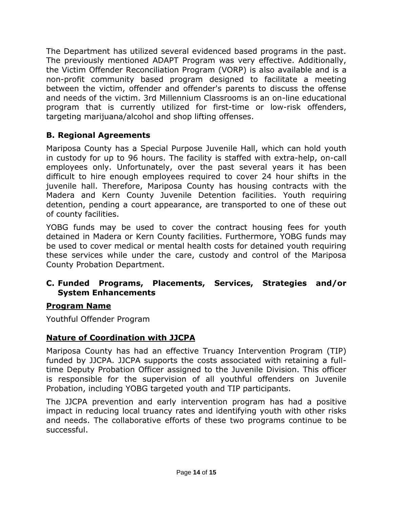The Department has utilized several evidenced based programs in the past. The previously mentioned ADAPT Program was very effective. Additionally, the Victim Offender Reconciliation Program (VORP) is also available and is a non-profit community based program designed to facilitate a meeting between the victim, offender and offender's parents to discuss the offense and needs of the victim. 3rd Millennium Classrooms is an on-line educational program that is currently utilized for first-time or low-risk offenders, targeting marijuana/alcohol and shop lifting offenses.

## **B. Regional Agreements**

Mariposa County has a Special Purpose Juvenile Hall, which can hold youth in custody for up to 96 hours. The facility is staffed with extra-help, on-call employees only. Unfortunately, over the past several years it has been difficult to hire enough employees required to cover 24 hour shifts in the juvenile hall. Therefore, Mariposa County has housing contracts with the Madera and Kern County Juvenile Detention facilities. Youth requiring detention, pending a court appearance, are transported to one of these out of county facilities.

YOBG funds may be used to cover the contract housing fees for youth detained in Madera or Kern County facilities. Furthermore, YOBG funds may be used to cover medical or mental health costs for detained youth requiring these services while under the care, custody and control of the Mariposa County Probation Department.

### **C. Funded Programs, Placements, Services, Strategies and/or System Enhancements**

### **Program Name**

Youthful Offender Program

## **Nature of Coordination with JJCPA**

Mariposa County has had an effective Truancy Intervention Program (TIP) funded by JJCPA. JJCPA supports the costs associated with retaining a fulltime Deputy Probation Officer assigned to the Juvenile Division. This officer is responsible for the supervision of all youthful offenders on Juvenile Probation, including YOBG targeted youth and TIP participants.

The JJCPA prevention and early intervention program has had a positive impact in reducing local truancy rates and identifying youth with other risks and needs. The collaborative efforts of these two programs continue to be successful.